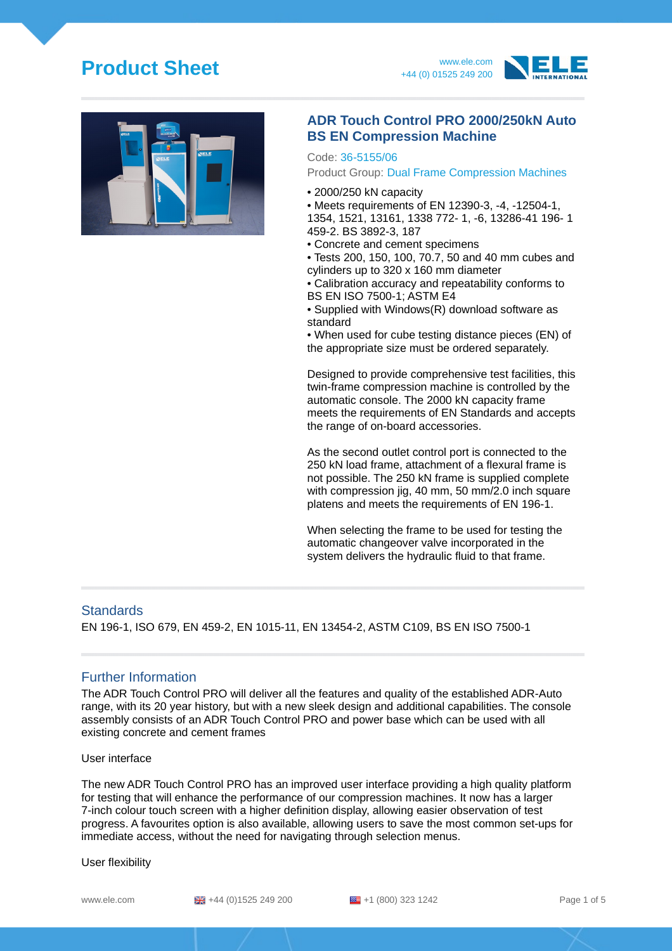# **Product Sheet** www.ele.com







### **ADR Touch Control PRO 2000/250kN Auto BS EN Compression Machine**

#### Code: 36-5155/06

#### Product Group: Dual Frame Compression Machines

- 2000/250 kN capacity
- Meets requirements of EN 12390-3, -4, -12504-1,
- 1354, 1521, 13161, 1338 772- 1, -6, 13286-41 196- 1 459-2. BS 3892-3, 187
- Concrete and cement specimens
- Tests 200, 150, 100, 70.7, 50 and 40 mm cubes and cylinders up to 320 x 160 mm diameter

• Calibration accuracy and repeatability conforms to BS EN ISO 7500-1; ASTM E4

• Supplied with Windows(R) download software as standard

• When used for cube testing distance pieces (EN) of the appropriate size must be ordered separately.

Designed to provide comprehensive test facilities, this twin-frame compression machine is controlled by the automatic console. The 2000 kN capacity frame meets the requirements of EN Standards and accepts the range of on-board accessories.

As the second outlet control port is connected to the 250 kN load frame, attachment of a flexural frame is not possible. The 250 kN frame is supplied complete with compression jig, 40 mm, 50 mm/2.0 inch square platens and meets the requirements of EN 196-1.

When selecting the frame to be used for testing the automatic changeover valve incorporated in the system delivers the hydraulic fluid to that frame.

#### **Standards**

EN 196-1, ISO 679, EN 459-2, EN 1015-11, EN 13454-2, ASTM C109, BS EN ISO 7500-1

### Further Information

The ADR Touch Control PRO will deliver all the features and quality of the established ADR-Auto range, with its 20 year history, but with a new sleek design and additional capabilities. The console assembly consists of an ADR Touch Control PRO and power base which can be used with all existing concrete and cement frames

User interface

The new ADR Touch Control PRO has an improved user interface providing a high quality platform for testing that will enhance the performance of our compression machines. It now has a larger 7-inch colour touch screen with a higher definition display, allowing easier observation of test progress. A favourites option is also available, allowing users to save the most common set-ups for immediate access, without the need for navigating through selection menus.

#### User flexibility

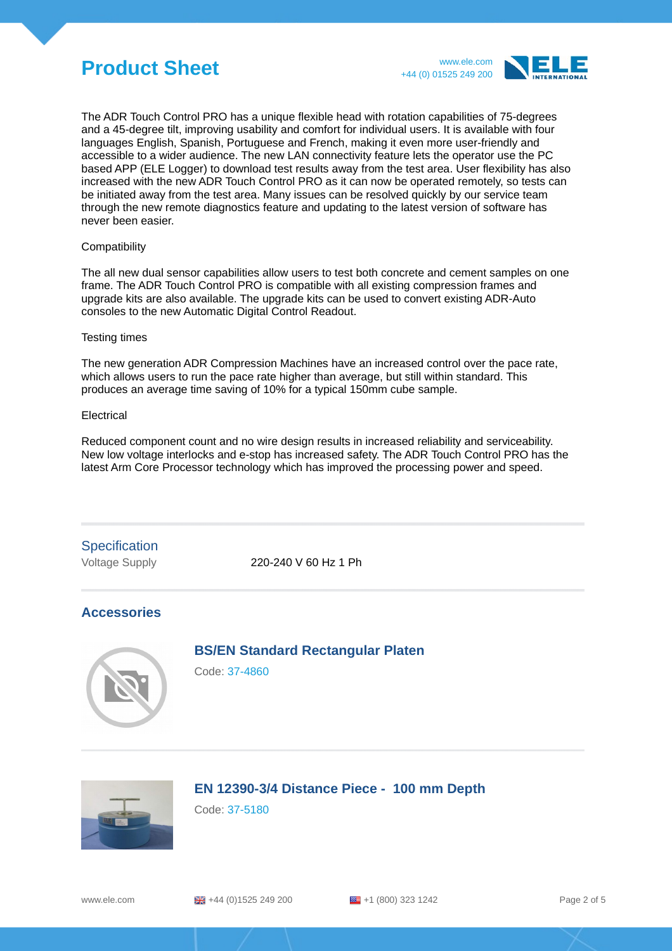# **Product Sheet** www.ele.com



The ADR Touch Control PRO has a unique flexible head with rotation capabilities of 75-degrees and a 45-degree tilt, improving usability and comfort for individual users. It is available with four languages English, Spanish, Portuguese and French, making it even more user-friendly and accessible to a wider audience. The new LAN connectivity feature lets the operator use the PC based APP (ELE Logger) to download test results away from the test area. User flexibility has also increased with the new ADR Touch Control PRO as it can now be operated remotely, so tests can be initiated away from the test area. Many issues can be resolved quickly by our service team through the new remote diagnostics feature and updating to the latest version of software has never been easier.

#### Compatibility

The all new dual sensor capabilities allow users to test both concrete and cement samples on one frame. The ADR Touch Control PRO is compatible with all existing compression frames and upgrade kits are also available. The upgrade kits can be used to convert existing ADR-Auto consoles to the new Automatic Digital Control Readout.

#### Testing times

The new generation ADR Compression Machines have an increased control over the pace rate, which allows users to run the pace rate higher than average, but still within standard. This produces an average time saving of 10% for a typical 150mm cube sample.

#### Electrical

Reduced component count and no wire design results in increased reliability and serviceability. New low voltage interlocks and e-stop has increased safety. The ADR Touch Control PRO has the latest Arm Core Processor technology which has improved the processing power and speed.

## **Specification**

Voltage Supply 220-240 V 60 Hz 1 Ph

### **Accessories**

### **BS/EN Standard Rectangular Platen**

Code: 37-4860



### **EN 12390-3/4 Distance Piece - 100 mm Depth**

Code: 37-5180

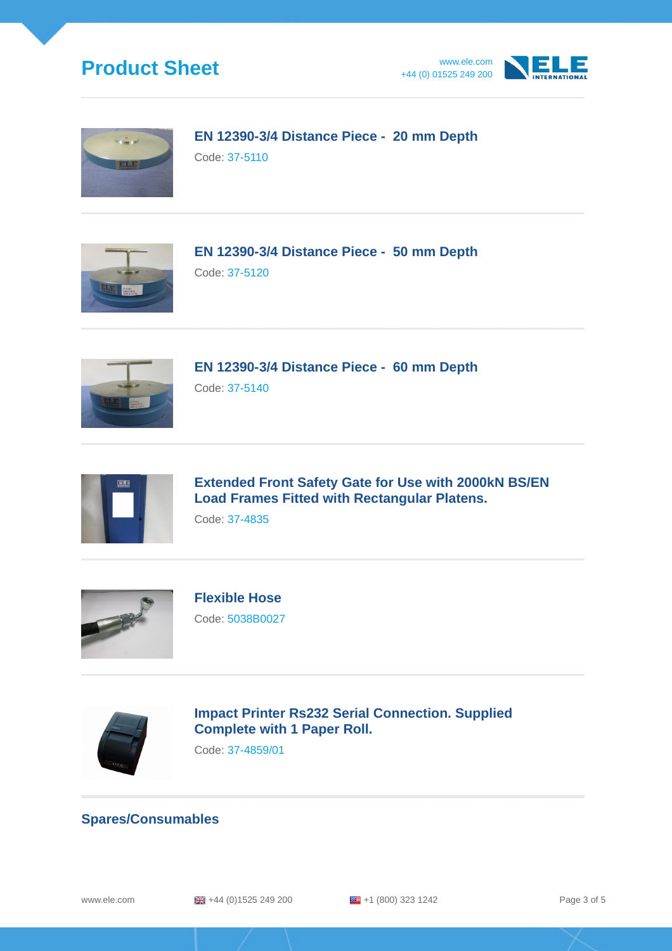





**EN 12390-3/4 Distance Piece - 20 mm Depth** Code: 37-5110



**EN 12390-3/4 Distance Piece - 50 mm Depth** Code: 37-5120



**EN 12390-3/4 Distance Piece - 60 mm Depth** Code: 37-5140



**Extended Front Safety Gate for Use with 2000kN BS/EN Load Frames Fitted with Rectangular Platens.**

Code: 37-4835



**Flexible Hose** Code: 5038B0027



**Impact Printer Rs232 Serial Connection. Supplied Complete with 1 Paper Roll.**

Code: 37-4859/01

### **Spares/Consumables**

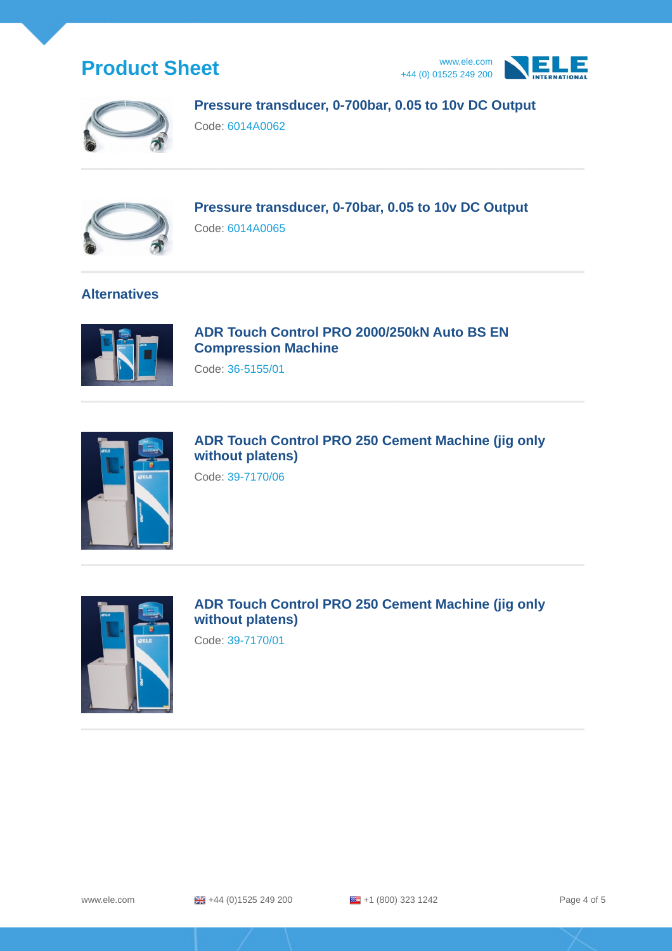





**Pressure transducer, 0-700bar, 0.05 to 10v DC Output**

Code: 6014A0062



**Pressure transducer, 0-70bar, 0.05 to 10v DC Output** Code: 6014A0065

### **Alternatives**



**ADR Touch Control PRO 2000/250kN Auto BS EN Compression Machine**

Code: 36-5155/01



**ADR Touch Control PRO 250 Cement Machine (jig only without platens)**

Code: 39-7170/06



**ADR Touch Control PRO 250 Cement Machine (jig only without platens)**

Code: 39-7170/01